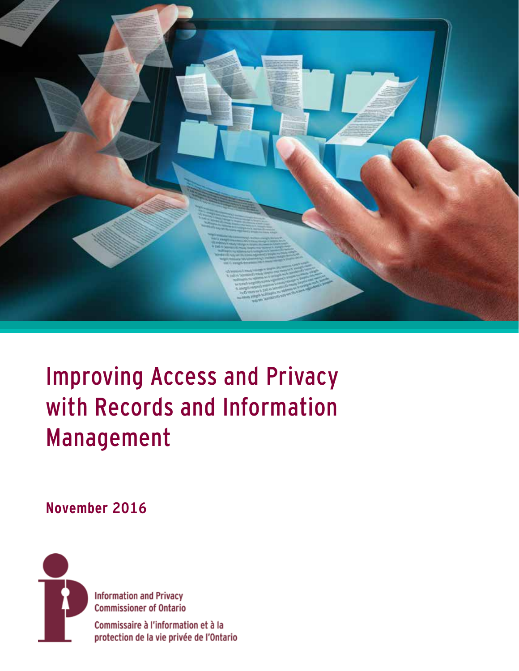

# Improving Access and Privacy with Records and Information Management

### **November 2016**



**Information and Privacy Commissioner of Ontario** Commissaire à l'information et à la

protection de la vie privée de l'Ontario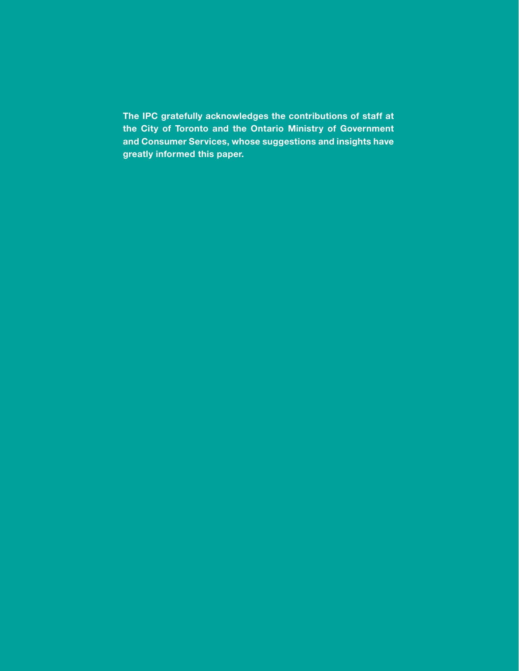**The IPC gratefully acknowledges the contributions of staff at the City of Toronto and the Ontario Ministry of Government and Consumer Services, whose suggestions and insights have greatly informed this paper.**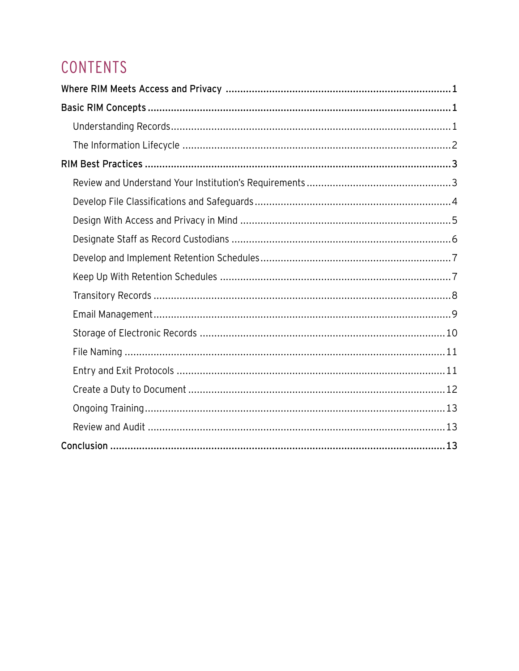# CONTENTS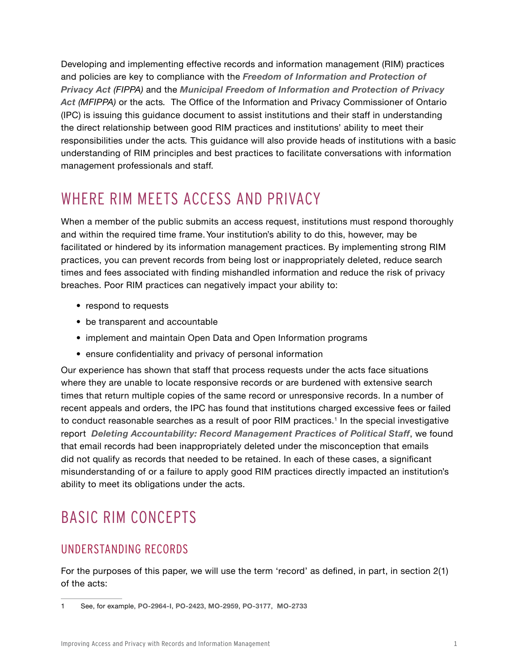<span id="page-4-0"></span>Developing and implementing effective records and information management (RIM) practices and policies are key to compliance with the *[Freedom of Information and Protection of](https://www.ontario.ca/laws/statute/90f31)  [Privacy Act](https://www.ontario.ca/laws/statute/90f31) (FIPPA)* and the *[Municipal Freedom of Information and Protection of Privacy](https://www.ontario.ca/laws/statute/90m56)  [Act](https://www.ontario.ca/laws/statute/90m56) (MFIPPA)* or the acts*.* The Office of the Information and Privacy Commissioner of Ontario (IPC) is issuing this guidance document to assist institutions and their staff in understanding the direct relationship between good RIM practices and institutions' ability to meet their responsibilities under the acts*.* This guidance will also provide heads of institutions with a basic understanding of RIM principles and best practices to facilitate conversations with information management professionals and staff.

## WHERE RIM MEETS ACCESS AND PRIVACY

When a member of the public submits an access request, institutions must respond thoroughly and within the required time frame. Your institution's ability to do this, however, may be facilitated or hindered by its information management practices. By implementing strong RIM practices, you can prevent records from being lost or inappropriately deleted, reduce search times and fees associated with finding mishandled information and reduce the risk of privacy breaches. Poor RIM practices can negatively impact your ability to:

- respond to requests
- be transparent and accountable
- implement and maintain Open Data and Open Information programs
- ensure confidentiality and privacy of personal information

Our experience has shown that staff that process requests under the acts face situations where they are unable to locate responsive records or are burdened with extensive search times that return multiple copies of the same record or unresponsive records. In a number of recent appeals and orders, the IPC has found that institutions charged excessive fees or failed to conduct reasonable searches as a result of poor RIM practices.<sup>1</sup> In the special investigative report *[Deleting Accountability: Record Management Practices of Political Staff](https://www.ipc.on.ca/wp-content/uploads/2016/08/2013-06-05-Deleting-Accountability-1.pdf)*, we found that email records had been inappropriately deleted under the misconception that emails did not qualify as records that needed to be retained. In each of these cases, a significant misunderstanding of or a failure to apply good RIM practices directly impacted an institution's ability to meet its obligations under the acts.

# BASIC RIM CONCEPTS

#### UNDERSTANDING RECORDS

For the purposes of this paper, we will use the term 'record' as defined, in part, in section 2(1) of the acts:

<sup>1</sup> See, for example, **[PO-2964-I](http://decisions.ipc.on.ca/ipc-cipvp/orders/en/item/133568/index.do?r=AAAAAQAJUE8tMjk2NC1JAQ)**, **[PO-2423](http://decisions.ipc.on.ca/ipc-cipvp/orders/en/item/132490/index.do?r=AAAAAQAHUE8tMjQyMwE)**, **[MO-2959](http://decisions.ipc.on.ca/ipc-cipvp/orders/en/item/134307/index.do?r=AAAAAQAHTU8tMjk1OQE)**, **[PO-3177](http://decisions.ipc.on.ca/ipc-cipvp/orders/en/item/134081/index.do?r=AAAAAQAHUE8tMzE3NwE)**, **[MO-2733](http://decisions.ipc.on.ca/ipc-cipvp/orders/en/item/133930/index.do?r=AAAAAQAHTU8tMjczMwE)**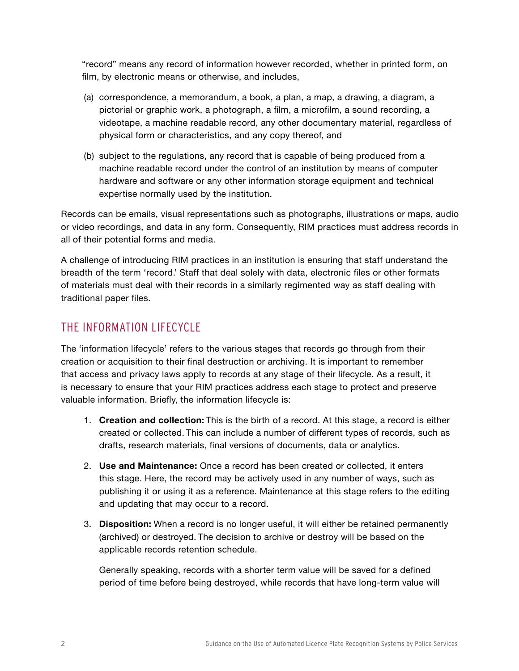<span id="page-5-0"></span>"record" means any record of information however recorded, whether in printed form, on film, by electronic means or otherwise, and includes,

- (a) correspondence, a memorandum, a book, a plan, a map, a drawing, a diagram, a pictorial or graphic work, a photograph, a film, a microfilm, a sound recording, a videotape, a machine readable record, any other documentary material, regardless of physical form or characteristics, and any copy thereof, and
- (b) subject to the regulations, any record that is capable of being produced from a machine readable record under the control of an institution by means of computer hardware and software or any other information storage equipment and technical expertise normally used by the institution.

Records can be emails, visual representations such as photographs, illustrations or maps, audio or video recordings, and data in any form. Consequently, RIM practices must address records in all of their potential forms and media.

A challenge of introducing RIM practices in an institution is ensuring that staff understand the breadth of the term 'record.' Staff that deal solely with data, electronic files or other formats of materials must deal with their records in a similarly regimented way as staff dealing with traditional paper files.

#### THE INFORMATION LIFECYCLE

The 'information lifecycle' refers to the various stages that records go through from their creation or acquisition to their final destruction or archiving. It is important to remember that access and privacy laws apply to records at any stage of their lifecycle. As a result, it is necessary to ensure that your RIM practices address each stage to protect and preserve valuable information. Briefly, the information lifecycle is:

- 1. **Creation and collection:** This is the birth of a record. At this stage, a record is either created or collected. This can include a number of different types of records, such as drafts, research materials, final versions of documents, data or analytics.
- 2. **Use and Maintenance:** Once a record has been created or collected, it enters this stage. Here, the record may be actively used in any number of ways, such as publishing it or using it as a reference. Maintenance at this stage refers to the editing and updating that may occur to a record.
- 3. **Disposition:** When a record is no longer useful, it will either be retained permanently (archived) or destroyed. The decision to archive or destroy will be based on the applicable records retention schedule.

Generally speaking, records with a shorter term value will be saved for a defined period of time before being destroyed, while records that have long-term value will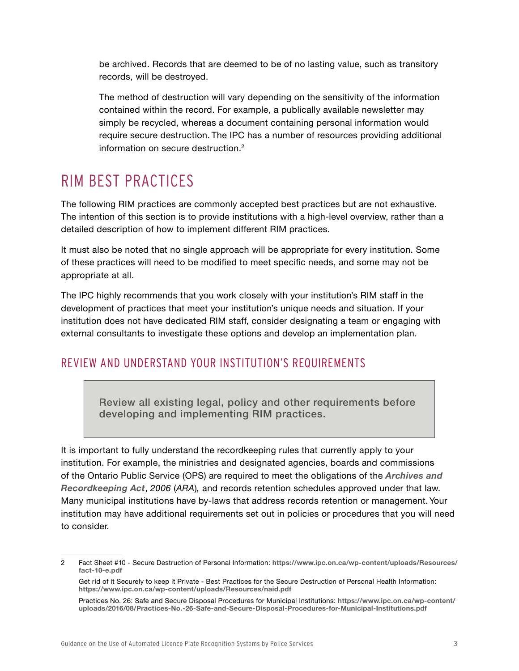<span id="page-6-0"></span>be archived. Records that are deemed to be of no lasting value, such as transitory records, will be destroyed.

The method of destruction will vary depending on the sensitivity of the information contained within the record. For example, a publically available newsletter may simply be recycled, whereas a document containing personal information would require secure destruction. The IPC has a number of resources providing additional information on secure destruction.2

# RIM BEST PRACTICES

The following RIM practices are commonly accepted best practices but are not exhaustive. The intention of this section is to provide institutions with a high-level overview, rather than a detailed description of how to implement different RIM practices.

It must also be noted that no single approach will be appropriate for every institution. Some of these practices will need to be modified to meet specific needs, and some may not be appropriate at all.

The IPC highly recommends that you work closely with your institution's RIM staff in the development of practices that meet your institution's unique needs and situation. If your institution does not have dedicated RIM staff, consider designating a team or engaging with external consultants to investigate these options and develop an implementation plan.

#### REVIEW AND UNDERSTAND YOUR INSTITUTION'S REQUIREMENTS

Review all existing legal, policy and other requirements before developing and implementing RIM practices.

It is important to fully understand the recordkeeping rules that currently apply to your institution. For example, the ministries and designated agencies, boards and commissions of the Ontario Public Service (OPS) are required to meet the obligations of the *[Archives and](https://www.ontario.ca/laws/statute/06a34)  [Recordkeeping Act](https://www.ontario.ca/laws/statute/06a34)*, *2006* (*ARA*)*,* and records retention schedules approved under that law. Many municipal institutions have by-laws that address records retention or management. Your institution may have additional requirements set out in policies or procedures that you will need to consider.

<sup>2</sup> Fact Sheet #10 - Secure Destruction of Personal Information: **https://www.ipc.on.ca/wp-content/uploads/Resources/ fact-10-e.pdf** 

Get rid of it Securely to keep it Private - Best Practices for the Secure Destruction of Personal Health Information: **<https://www.ipc.on.ca/wp-content/uploads/Resources/naid.pdf>**

Practices No. 26: Safe and Secure Disposal Procedures for Municipal Institutions: **[https://www.ipc.on.ca/wp-content/](https://www.ipc.on.ca/wp-content/uploads/2016/08/Practices-No.-26-Safe-and-Secure-Disposal-Procedures-for-Municipal-Institutions.pdf) [uploads/2016/08/Practices-No.-26-Safe-and-Secure-Disposal-Procedures-for-Municipal-Institutions.pdf](https://www.ipc.on.ca/wp-content/uploads/2016/08/Practices-No.-26-Safe-and-Secure-Disposal-Procedures-for-Municipal-Institutions.pdf)**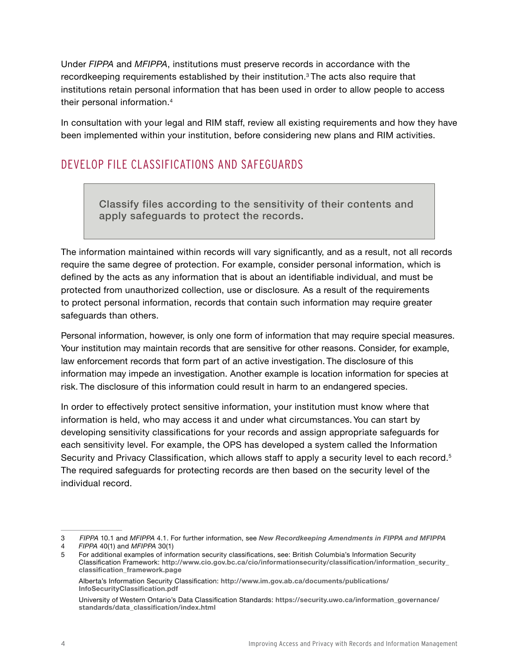<span id="page-7-0"></span>Under *FIPPA* and *MFIPPA*, institutions must preserve records in accordance with the recordkeeping requirements established by their institution.<sup>3</sup> The acts also require that institutions retain personal information that has been used in order to allow people to access their personal information.4

In consultation with your legal and RIM staff, review all existing requirements and how they have been implemented within your institution, before considering new plans and RIM activities.

#### DEVELOP FILE CLASSIFICATIONS AND SAFEGUARDS

Classify files according to the sensitivity of their contents and apply safeguards to protect the records.

The information maintained within records will vary significantly, and as a result, not all records require the same degree of protection. For example, consider personal information, which is defined by the acts as any information that is about an identifiable individual, and must be protected from unauthorized collection, use or disclosure*.* As a result of the requirements to protect personal information, records that contain such information may require greater safeguards than others.

Personal information, however, is only one form of information that may require special measures. Your institution may maintain records that are sensitive for other reasons. Consider, for example, law enforcement records that form part of an active investigation. The disclosure of this information may impede an investigation. Another example is location information for species at risk. The disclosure of this information could result in harm to an endangered species.

In order to effectively protect sensitive information, your institution must know where that information is held, who may access it and under what circumstances. You can start by developing sensitivity classifications for your records and assign appropriate safeguards for each sensitivity level. For example, the OPS has developed a system called the Information Security and Privacy Classification, which allows staff to apply a security level to each record.<sup>5</sup> The required safeguards for protecting records are then based on the security level of the individual record.

<sup>3</sup> *FIPPA* 10.1 and *MFIPPA* 4.1. For further information, see *[New Recordkeeping Amendments in FIPPA and MFIPPA](https://www.ipc.on.ca/resource/fippa-and-mfippa-bill-8-the-recordkeeping-amendments/)*

<sup>4</sup> *FIPPA* 40(1) and *MFIPPA* 30(1)

<sup>5</sup> For additional examples of information security classifications, see: British Columbia's Information Security Classification Framework: **[http://www.cio.gov.bc.ca/cio/informationsecurity/classification/information\\_security\\_](http://www.cio.gov.bc.ca/cio/informationsecurity/classification/information_security_classification_framework.page) [classification\\_framework.page](http://www.cio.gov.bc.ca/cio/informationsecurity/classification/information_security_classification_framework.page)**

Alberta's Information Security Classification: **[http://www.im.gov.ab.ca/documents/publications/](http://www.im.gov.ab.ca/documents/publications/InfoSecurityClassification.pdf) [InfoSecurityClassification.pdf](http://www.im.gov.ab.ca/documents/publications/InfoSecurityClassification.pdf)**

University of Western Ontario's Data Classification Standards: **[https://security.uwo.ca/information\\_governance/](https://security.uwo.ca/information_governance/standards/data_classification/index.html) [standards/data\\_classification/index.html](https://security.uwo.ca/information_governance/standards/data_classification/index.html)**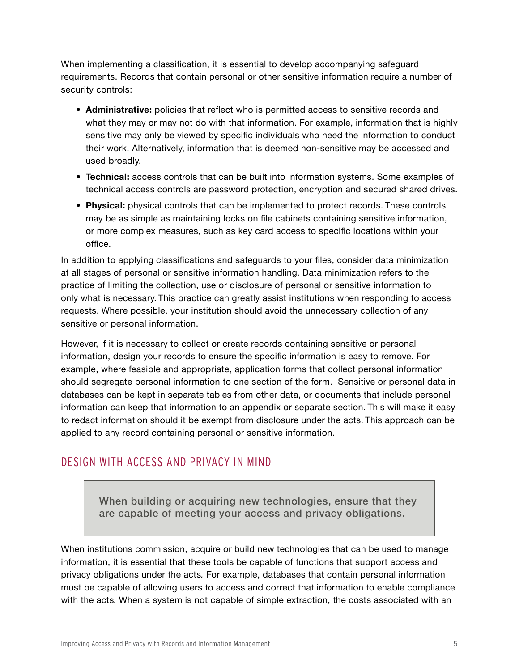<span id="page-8-0"></span>When implementing a classification, it is essential to develop accompanying safeguard requirements. Records that contain personal or other sensitive information require a number of security controls:

- **• Administrative:** policies that reflect who is permitted access to sensitive records and what they may or may not do with that information. For example, information that is highly sensitive may only be viewed by specific individuals who need the information to conduct their work. Alternatively, information that is deemed non-sensitive may be accessed and used broadly.
- **• Technical:** access controls that can be built into information systems. Some examples of technical access controls are password protection, encryption and secured shared drives.
- **• Physical:** physical controls that can be implemented to protect records. These controls may be as simple as maintaining locks on file cabinets containing sensitive information, or more complex measures, such as key card access to specific locations within your office.

In addition to applying classifications and safeguards to your files, consider data minimization at all stages of personal or sensitive information handling. Data minimization refers to the practice of limiting the collection, use or disclosure of personal or sensitive information to only what is necessary. This practice can greatly assist institutions when responding to access requests. Where possible, your institution should avoid the unnecessary collection of any sensitive or personal information.

However, if it is necessary to collect or create records containing sensitive or personal information, design your records to ensure the specific information is easy to remove. For example, where feasible and appropriate, application forms that collect personal information should segregate personal information to one section of the form. Sensitive or personal data in databases can be kept in separate tables from other data, or documents that include personal information can keep that information to an appendix or separate section. This will make it easy to redact information should it be exempt from disclosure under the acts. This approach can be applied to any record containing personal or sensitive information.

#### DESIGN WITH ACCESS AND PRIVACY IN MIND

When building or acquiring new technologies, ensure that they are capable of meeting your access and privacy obligations.

When institutions commission, acquire or build new technologies that can be used to manage information, it is essential that these tools be capable of functions that support access and privacy obligations under the acts*.* For example, databases that contain personal information must be capable of allowing users to access and correct that information to enable compliance with the acts*.* When a system is not capable of simple extraction, the costs associated with an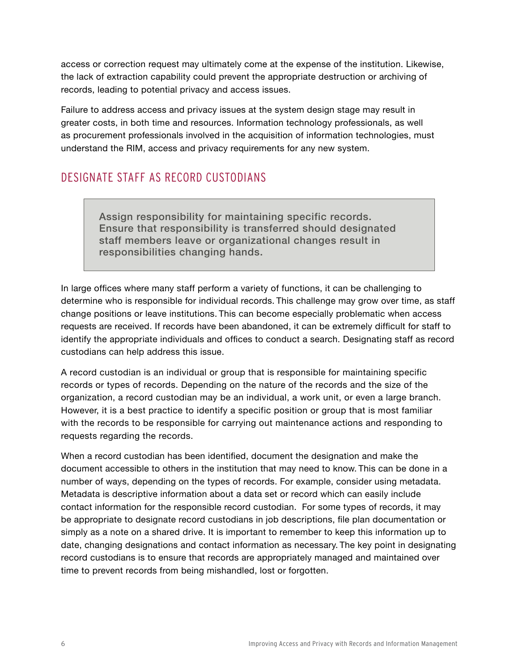<span id="page-9-0"></span>access or correction request may ultimately come at the expense of the institution. Likewise, the lack of extraction capability could prevent the appropriate destruction or archiving of records, leading to potential privacy and access issues.

Failure to address access and privacy issues at the system design stage may result in greater costs, in both time and resources. Information technology professionals, as well as procurement professionals involved in the acquisition of information technologies, must understand the RIM, access and privacy requirements for any new system.

#### DESIGNATE STAFF AS RECORD CUSTODIANS

Assign responsibility for maintaining specific records. Ensure that responsibility is transferred should designated staff members leave or organizational changes result in responsibilities changing hands.

In large offices where many staff perform a variety of functions, it can be challenging to determine who is responsible for individual records. This challenge may grow over time, as staff change positions or leave institutions. This can become especially problematic when access requests are received. If records have been abandoned, it can be extremely difficult for staff to identify the appropriate individuals and offices to conduct a search. Designating staff as record custodians can help address this issue.

A record custodian is an individual or group that is responsible for maintaining specific records or types of records. Depending on the nature of the records and the size of the organization, a record custodian may be an individual, a work unit, or even a large branch. However, it is a best practice to identify a specific position or group that is most familiar with the records to be responsible for carrying out maintenance actions and responding to requests regarding the records.

When a record custodian has been identified, document the designation and make the document accessible to others in the institution that may need to know. This can be done in a number of ways, depending on the types of records. For example, consider using metadata. Metadata is descriptive information about a data set or record which can easily include contact information for the responsible record custodian. For some types of records, it may be appropriate to designate record custodians in job descriptions, file plan documentation or simply as a note on a shared drive. It is important to remember to keep this information up to date, changing designations and contact information as necessary. The key point in designating record custodians is to ensure that records are appropriately managed and maintained over time to prevent records from being mishandled, lost or forgotten.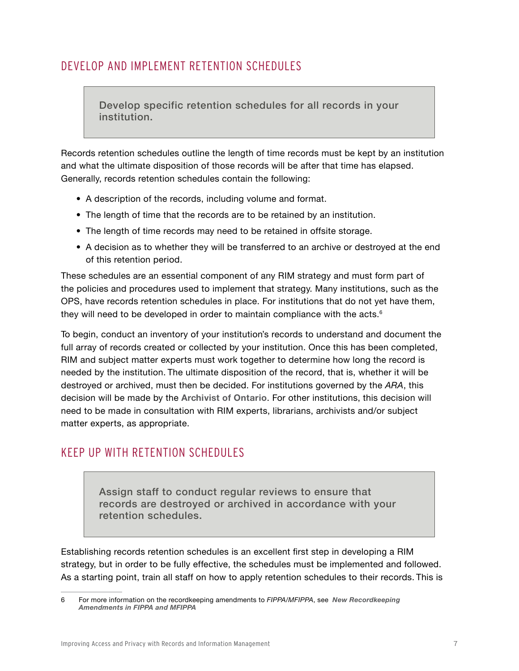#### <span id="page-10-0"></span>DEVELOP AND IMPLEMENT RETENTION SCHEDULES

Develop specific retention schedules for all records in your institution.

Records retention schedules outline the length of time records must be kept by an institution and what the ultimate disposition of those records will be after that time has elapsed. Generally, records retention schedules contain the following:

- A description of the records, including volume and format.
- The length of time that the records are to be retained by an institution.
- The length of time records may need to be retained in offsite storage.
- A decision as to whether they will be transferred to an archive or destroyed at the end of this retention period.

These schedules are an essential component of any RIM strategy and must form part of the policies and procedures used to implement that strategy. Many institutions, such as the OPS, have records retention schedules in place. For institutions that do not yet have them, they will need to be developed in order to maintain compliance with the acts. $6$ 

To begin, conduct an inventory of your institution's records to understand and document the full array of records created or collected by your institution. Once this has been completed, RIM and subject matter experts must work together to determine how long the record is needed by the institution. The ultimate disposition of the record, that is, whether it will be destroyed or archived, must then be decided. For institutions governed by the *ARA*, this decision will be made by the **[Archivist of Ontario](http://www.archives.gov.on.ca/en/recordkeeping/index.aspx)**. For other institutions, this decision will need to be made in consultation with RIM experts, librarians, archivists and/or subject matter experts, as appropriate.

#### KEEP UP WITH RETENTION SCHEDULES

Assign staff to conduct regular reviews to ensure that records are destroyed or archived in accordance with your retention schedules.

Establishing records retention schedules is an excellent first step in developing a RIM strategy, but in order to be fully effective, the schedules must be implemented and followed. As a starting point, train all staff on how to apply retention schedules to their records. This is

<sup>6</sup> For more information on the recordkeeping amendments to *FIPPA/MFIPPA*, see *[New Recordkeeping](https://www.ipc.on.ca/resource/fippa-and-mfippa-bill-8-the-recordkeeping-amendments/)  [Amendments in FIPPA and MFIPPA](https://www.ipc.on.ca/resource/fippa-and-mfippa-bill-8-the-recordkeeping-amendments/)*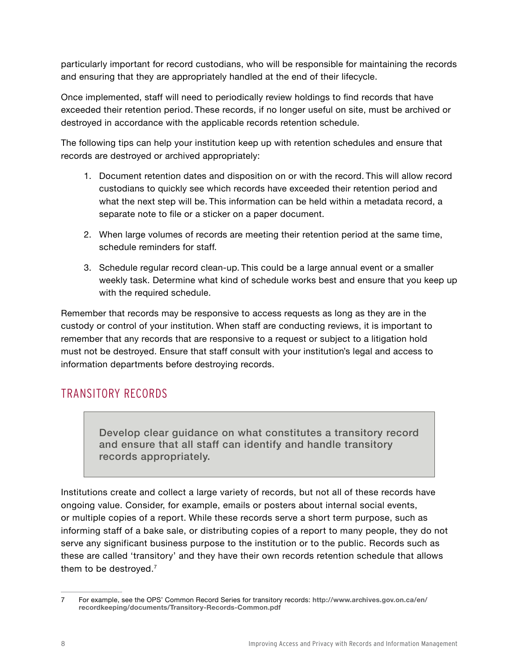<span id="page-11-0"></span>particularly important for record custodians, who will be responsible for maintaining the records and ensuring that they are appropriately handled at the end of their lifecycle.

Once implemented, staff will need to periodically review holdings to find records that have exceeded their retention period. These records, if no longer useful on site, must be archived or destroyed in accordance with the applicable records retention schedule.

The following tips can help your institution keep up with retention schedules and ensure that records are destroyed or archived appropriately:

- 1. Document retention dates and disposition on or with the record. This will allow record custodians to quickly see which records have exceeded their retention period and what the next step will be. This information can be held within a metadata record, a separate note to file or a sticker on a paper document.
- 2. When large volumes of records are meeting their retention period at the same time, schedule reminders for staff.
- 3. Schedule regular record clean-up. This could be a large annual event or a smaller weekly task. Determine what kind of schedule works best and ensure that you keep up with the required schedule.

Remember that records may be responsive to access requests as long as they are in the custody or control of your institution. When staff are conducting reviews, it is important to remember that any records that are responsive to a request or subject to a litigation hold must not be destroyed. Ensure that staff consult with your institution's legal and access to information departments before destroying records.

#### TRANSITORY RECORDS

Develop clear guidance on what constitutes a transitory record and ensure that all staff can identify and handle transitory records appropriately.

Institutions create and collect a large variety of records, but not all of these records have ongoing value. Consider, for example, emails or posters about internal social events, or multiple copies of a report. While these records serve a short term purpose, such as informing staff of a bake sale, or distributing copies of a report to many people, they do not serve any significant business purpose to the institution or to the public. Records such as these are called 'transitory' and they have their own records retention schedule that allows them to be destroyed.<sup>7</sup>

<sup>7</sup> For example, see the OPS' Common Record Series for transitory records: **[http://www.archives.gov.on.ca/en/](http://www.archives.gov.on.ca/en/recordkeeping/documents/Transitory-Records-Common.pdf) [recordkeeping/documents/Transitory-Records-Common.pdf](http://www.archives.gov.on.ca/en/recordkeeping/documents/Transitory-Records-Common.pdf)**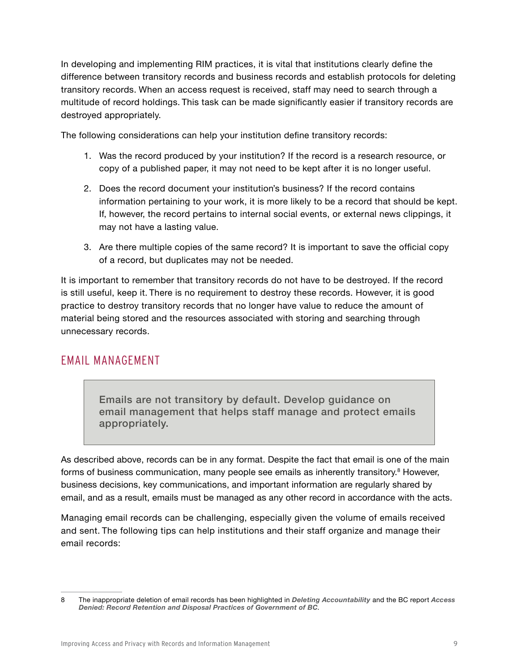<span id="page-12-0"></span>In developing and implementing RIM practices, it is vital that institutions clearly define the difference between transitory records and business records and establish protocols for deleting transitory records. When an access request is received, staff may need to search through a multitude of record holdings. This task can be made significantly easier if transitory records are destroyed appropriately.

The following considerations can help your institution define transitory records:

- 1. Was the record produced by your institution? If the record is a research resource, or copy of a published paper, it may not need to be kept after it is no longer useful.
- 2. Does the record document your institution's business? If the record contains information pertaining to your work, it is more likely to be a record that should be kept. If, however, the record pertains to internal social events, or external news clippings, it may not have a lasting value.
- 3. Are there multiple copies of the same record? It is important to save the official copy of a record, but duplicates may not be needed.

It is important to remember that transitory records do not have to be destroyed. If the record is still useful, keep it. There is no requirement to destroy these records. However, it is good practice to destroy transitory records that no longer have value to reduce the amount of material being stored and the resources associated with storing and searching through unnecessary records.

#### EMAIL MANAGEMENT

Emails are not transitory by default. Develop guidance on email management that helps staff manage and protect emails appropriately.

As described above, records can be in any format. Despite the fact that email is one of the main forms of business communication, many people see emails as inherently transitory.<sup>8</sup> However, business decisions, key communications, and important information are regularly shared by email, and as a result, emails must be managed as any other record in accordance with the acts.

Managing email records can be challenging, especially given the volume of emails received and sent. The following tips can help institutions and their staff organize and manage their email records:

<sup>8</sup> The inappropriate deletion of email records has been highlighted in *[Deleting Accountability](https://www.ipc.on.ca/wp-content/uploads/2016/08/2013-06-05-Deleting-Accountability.pdf)* and the BC report *[Access](https://www.oipc.bc.ca/investigation-reports/1874)  [Denied: Record Retention and Disposal Practices of Government of BC](https://www.oipc.bc.ca/investigation-reports/1874).*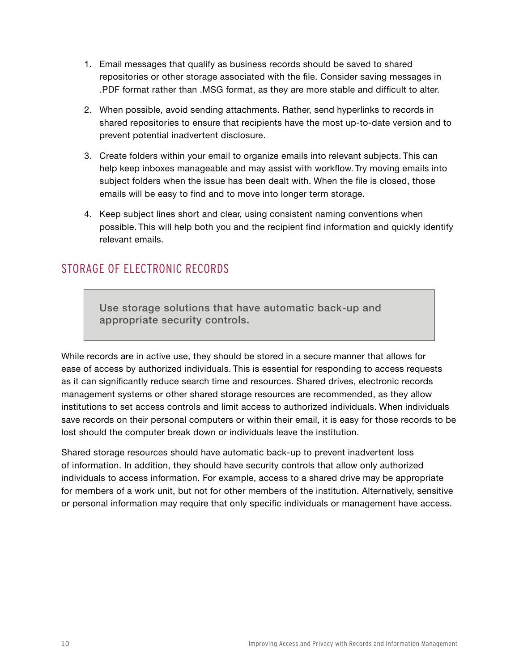- <span id="page-13-0"></span>1. Email messages that qualify as business records should be saved to shared repositories or other storage associated with the file. Consider saving messages in .PDF format rather than .MSG format, as they are more stable and difficult to alter.
- 2. When possible, avoid sending attachments. Rather, send hyperlinks to records in shared repositories to ensure that recipients have the most up-to-date version and to prevent potential inadvertent disclosure.
- 3. Create folders within your email to organize emails into relevant subjects. This can help keep inboxes manageable and may assist with workflow. Try moving emails into subject folders when the issue has been dealt with. When the file is closed, those emails will be easy to find and to move into longer term storage.
- 4. Keep subject lines short and clear, using consistent naming conventions when possible. This will help both you and the recipient find information and quickly identify relevant emails.

#### STORAGE OF ELECTRONIC RECORDS

Use storage solutions that have automatic back-up and appropriate security controls.

While records are in active use, they should be stored in a secure manner that allows for ease of access by authorized individuals. This is essential for responding to access requests as it can significantly reduce search time and resources. Shared drives, electronic records management systems or other shared storage resources are recommended, as they allow institutions to set access controls and limit access to authorized individuals. When individuals save records on their personal computers or within their email, it is easy for those records to be lost should the computer break down or individuals leave the institution.

Shared storage resources should have automatic back-up to prevent inadvertent loss of information. In addition, they should have security controls that allow only authorized individuals to access information. For example, access to a shared drive may be appropriate for members of a work unit, but not for other members of the institution. Alternatively, sensitive or personal information may require that only specific individuals or management have access.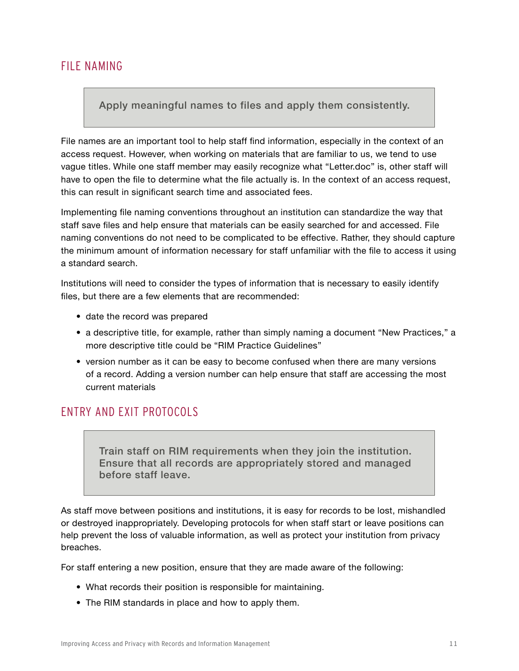#### <span id="page-14-0"></span>FILE NAMING

#### Apply meaningful names to files and apply them consistently.

File names are an important tool to help staff find information, especially in the context of an access request. However, when working on materials that are familiar to us, we tend to use vague titles. While one staff member may easily recognize what "Letter.doc" is, other staff will have to open the file to determine what the file actually is. In the context of an access request, this can result in significant search time and associated fees.

Implementing file naming conventions throughout an institution can standardize the way that staff save files and help ensure that materials can be easily searched for and accessed. File naming conventions do not need to be complicated to be effective. Rather, they should capture the minimum amount of information necessary for staff unfamiliar with the file to access it using a standard search.

Institutions will need to consider the types of information that is necessary to easily identify files, but there are a few elements that are recommended:

- date the record was prepared
- a descriptive title, for example, rather than simply naming a document "New Practices," a more descriptive title could be "RIM Practice Guidelines"
- version number as it can be easy to become confused when there are many versions of a record. Adding a version number can help ensure that staff are accessing the most current materials

#### ENTRY AND EXIT PROTOCOLS

Train staff on RIM requirements when they join the institution. Ensure that all records are appropriately stored and managed before staff leave.

As staff move between positions and institutions, it is easy for records to be lost, mishandled or destroyed inappropriately. Developing protocols for when staff start or leave positions can help prevent the loss of valuable information, as well as protect your institution from privacy breaches.

For staff entering a new position, ensure that they are made aware of the following:

- What records their position is responsible for maintaining.
- The RIM standards in place and how to apply them.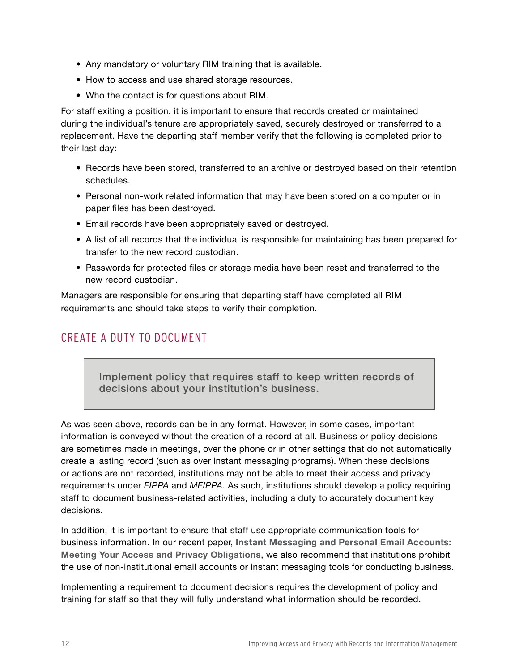- <span id="page-15-0"></span>• Any mandatory or voluntary RIM training that is available.
- How to access and use shared storage resources.
- Who the contact is for questions about RIM.

For staff exiting a position, it is important to ensure that records created or maintained during the individual's tenure are appropriately saved, securely destroyed or transferred to a replacement. Have the departing staff member verify that the following is completed prior to their last day:

- Records have been stored, transferred to an archive or destroyed based on their retention schedules.
- Personal non-work related information that may have been stored on a computer or in paper files has been destroyed.
- Email records have been appropriately saved or destroyed.
- A list of all records that the individual is responsible for maintaining has been prepared for transfer to the new record custodian.
- Passwords for protected files or storage media have been reset and transferred to the new record custodian.

Managers are responsible for ensuring that departing staff have completed all RIM requirements and should take steps to verify their completion.

#### CREATE A DUTY TO DOCUMENT

Implement policy that requires staff to keep written records of decisions about your institution's business.

As was seen above, records can be in any format. However, in some cases, important information is conveyed without the creation of a record at all. Business or policy decisions are sometimes made in meetings, over the phone or in other settings that do not automatically create a lasting record (such as over instant messaging programs). When these decisions or actions are not recorded, institutions may not be able to meet their access and privacy requirements under *FIPPA* and *MFIPPA.* As such, institutions should develop a policy requiring staff to document business-related activities, including a duty to accurately document key decisions.

In addition, it is important to ensure that staff use appropriate communication tools for business information. In our recent paper, **[Instant Messaging and Personal Email Accounts:](https://www.ipc.on.ca/wp-content/uploads/2016/08/Instant-Messaging.pdf)  [Meeting Your Access and Privacy Obligations](https://www.ipc.on.ca/wp-content/uploads/2016/08/Instant-Messaging.pdf)**, we also recommend that institutions prohibit the use of non-institutional email accounts or instant messaging tools for conducting business.

Implementing a requirement to document decisions requires the development of policy and training for staff so that they will fully understand what information should be recorded.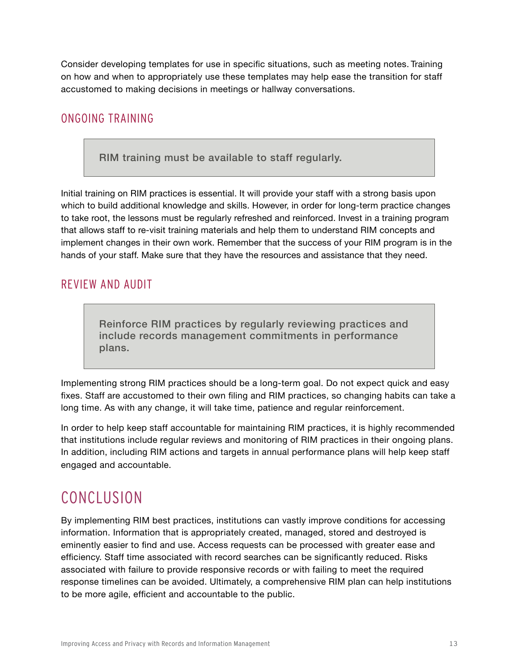<span id="page-16-0"></span>Consider developing templates for use in specific situations, such as meeting notes. Training on how and when to appropriately use these templates may help ease the transition for staff accustomed to making decisions in meetings or hallway conversations.

#### ONGOING TRAINING

RIM training must be available to staff regularly.

Initial training on RIM practices is essential. It will provide your staff with a strong basis upon which to build additional knowledge and skills. However, in order for long-term practice changes to take root, the lessons must be regularly refreshed and reinforced. Invest in a training program that allows staff to re-visit training materials and help them to understand RIM concepts and implement changes in their own work. Remember that the success of your RIM program is in the hands of your staff. Make sure that they have the resources and assistance that they need.

#### REVIEW AND AUDIT

Reinforce RIM practices by regularly reviewing practices and include records management commitments in performance plans.

Implementing strong RIM practices should be a long-term goal. Do not expect quick and easy fixes. Staff are accustomed to their own filing and RIM practices, so changing habits can take a long time. As with any change, it will take time, patience and regular reinforcement.

In order to help keep staff accountable for maintaining RIM practices, it is highly recommended that institutions include regular reviews and monitoring of RIM practices in their ongoing plans. In addition, including RIM actions and targets in annual performance plans will help keep staff engaged and accountable.

# CONCLUSION

By implementing RIM best practices, institutions can vastly improve conditions for accessing information. Information that is appropriately created, managed, stored and destroyed is eminently easier to find and use. Access requests can be processed with greater ease and efficiency. Staff time associated with record searches can be significantly reduced. Risks associated with failure to provide responsive records or with failing to meet the required response timelines can be avoided. Ultimately, a comprehensive RIM plan can help institutions to be more agile, efficient and accountable to the public.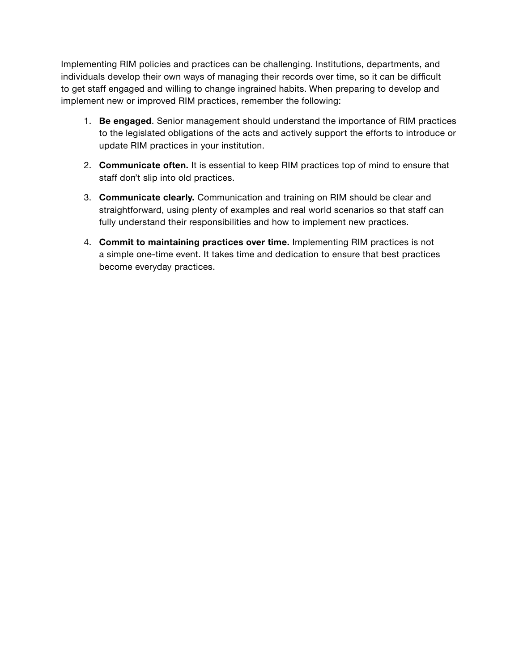Implementing RIM policies and practices can be challenging. Institutions, departments, and individuals develop their own ways of managing their records over time, so it can be difficult to get staff engaged and willing to change ingrained habits. When preparing to develop and implement new or improved RIM practices, remember the following:

- 1. **Be engaged**. Senior management should understand the importance of RIM practices to the legislated obligations of the acts and actively support the efforts to introduce or update RIM practices in your institution.
- 2. **Communicate often.** It is essential to keep RIM practices top of mind to ensure that staff don't slip into old practices.
- 3. **Communicate clearly.** Communication and training on RIM should be clear and straightforward, using plenty of examples and real world scenarios so that staff can fully understand their responsibilities and how to implement new practices.
- 4. **Commit to maintaining practices over time.** Implementing RIM practices is not a simple one-time event. It takes time and dedication to ensure that best practices become everyday practices.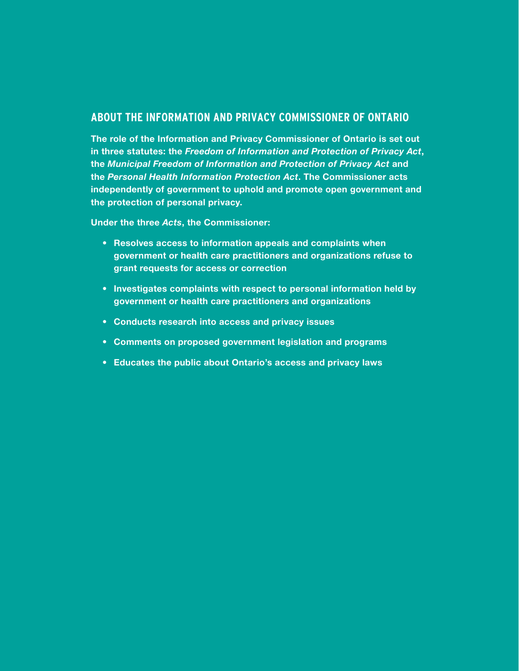#### **ABOUT THE INFORMATION AND PRIVACY COMMISSIONER OF ONTARIO**

**The role of the Information and Privacy Commissioner of Ontario is set out in three statutes: the** *Freedom of Information and Protection of Privacy Act***, the** *Municipal Freedom of Information and Protection of Privacy Act* **and the** *Personal Health Information Protection Act***. The Commissioner acts independently of government to uphold and promote open government and the protection of personal privacy.**

**Under the three** *Acts***, the Commissioner:**

- **• Resolves access to information appeals and complaints when government or health care practitioners and organizations refuse to grant requests for access or correction**
- **• Investigates complaints with respect to personal information held by government or health care practitioners and organizations**
- **• Conducts research into access and privacy issues**
- **• Comments on proposed government legislation and programs**
- **• Educates the public about Ontario's access and privacy laws**